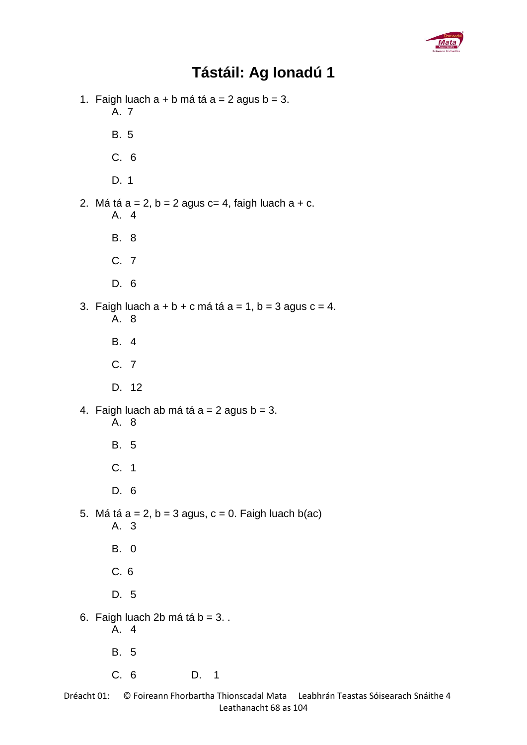

## **Tástáil: Ag Ionadú 1**

1. Faigh luach  $a + b$  má tá  $a = 2$  agus  $b = 3$ . A. 7 B. 5 C. 6 D. 1 2. Má tá  $a = 2$ ,  $b = 2$  agus  $c = 4$ , faigh luach  $a + c$ . A. 4 B. 8 C. 7 D. 6 3. Faigh luach  $a + b + c$  má tá  $a = 1$ ,  $b = 3$  agus  $c = 4$ . A. 8 B. 4 C. 7 D. 12 4. Faigh luach ab má tá  $a = 2$  agus  $b = 3$ . A. 8 B. 5 C. 1 D. 6 5. Má tá  $a = 2$ ,  $b = 3$  agus,  $c = 0$ . Faigh luach b(ac) A. 3 B. 0 C. 6 D. 5 6. Faigh luach  $2b$  má tá  $b = 3$ . A. 4 B. 5 C. 6 D. 1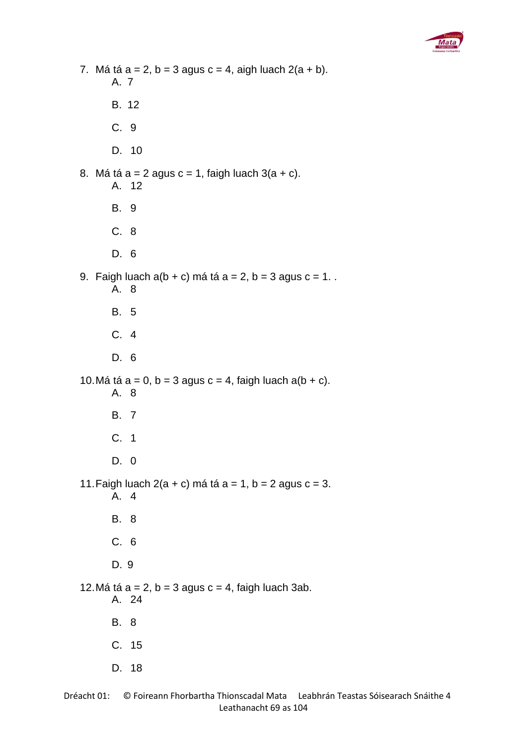

7. Má tá  $a = 2$ ,  $b = 3$  agus  $c = 4$ , aigh luach  $2(a + b)$ . A. 7 B. 12 C. 9 D. 10 8. Má tá  $a = 2$  agus  $c = 1$ , faigh luach  $3(a + c)$ . A. 12 B. 9 C. 8 D. 6 9. Faigh luach  $a(b + c)$  má tá  $a = 2$ ,  $b = 3$  agus  $c = 1$ . A. 8 B. 5 C. 4 D. 6 10. Má tá  $a = 0$ ,  $b = 3$  agus  $c = 4$ , faigh luach a( $b + c$ ). A. 8 B. 7 C. 1 D. 0 11. Faigh luach  $2(a + c)$  má tá a = 1, b = 2 agus c = 3. A. 4 B. 8 C. 6 D. 9 12. Má tá  $a = 2$ ,  $b = 3$  agus  $c = 4$ , faigh luach 3ab. A. 24 B. 8 C. 15 D. 18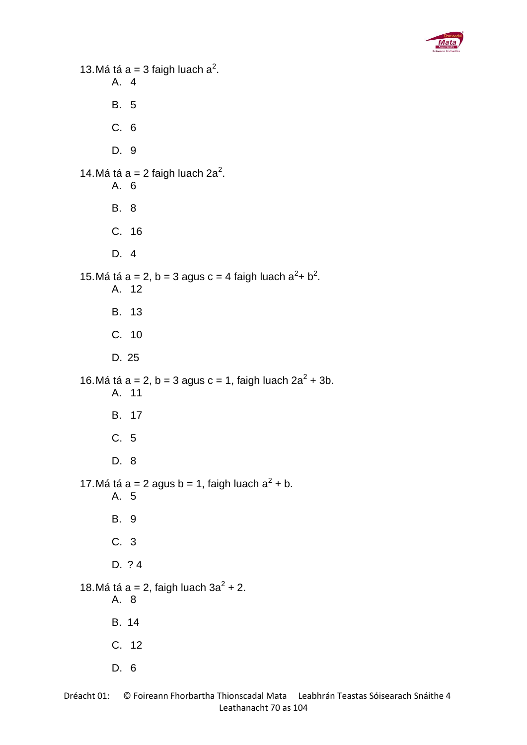

```
13. Má tá a = 3 faigh luach a^2.
      A. 4
      B. 5
      C. 6
      D. 9
14. Má tá a = 2 faigh luach 2a^2.
      A. 6
      B. 8
      C. 16
      D. 4
15. Má tá a = 2, b = 3 agus c = 4 faigh luach a<sup>2</sup>+ b<sup>2</sup>.
      A. 12
      B. 13
      C. 10
      D. 25
16. Má tá a = 2, b = 3 agus c = 1, faigh luach 2a^2 + 3b.
      A. 11
      B. 17
      C. 5
      D. 8
17. Má tá a = 2 agus b = 1, faigh luach a<sup>2</sup> + b.
      A. 5
      B. 9
      C. 3
      D. ? 4
18. Má tá a = 2, faigh luach 3a^2 + 2.
      A. 8
      B. 14
      C. 12
      D. 6
```